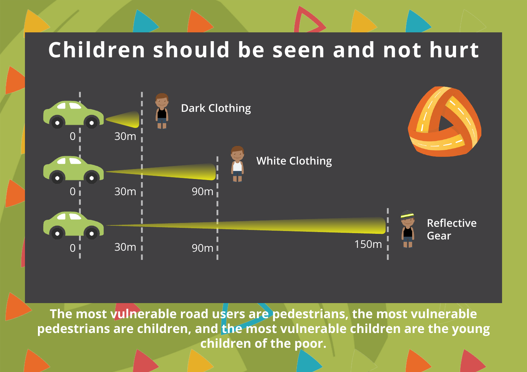## **Children should be seen and not hurt**



**The most vulnerable road users are pedestrians, the most vulnerable pedestrians are children, and the most vulnerable children are the young children of the poor.**